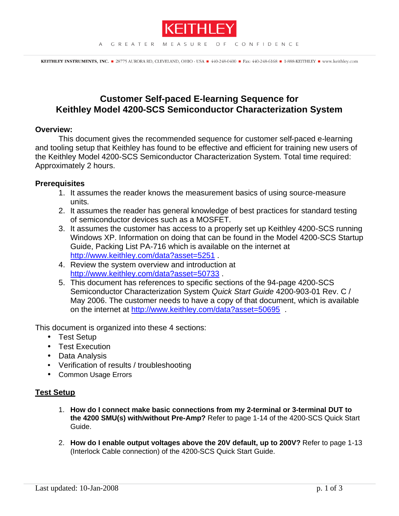

# **Customer Self-paced E-learning Sequence for Keithley Model 4200-SCS Semiconductor Characterization System**

## **Overview:**

This document gives the recommended sequence for customer self-paced e-learning and tooling setup that Keithley has found to be effective and efficient for training new users of the Keithley Model 4200-SCS Semiconductor Characterization System. Total time required: Approximately 2 hours.

# **Prerequisites**

- 1. It assumes the reader knows the measurement basics of using source-measure units.
- 2. It assumes the reader has general knowledge of best practices for standard testing of semiconductor devices such as a MOSFET.
- 3. It assumes the customer has access to a properly set up Keithley 4200-SCS running Windows XP. Information on doing that can be found in the Model 4200-SCS Startup Guide, Packing List PA-716 which is available on the internet at http://www.keithley.com/data?asset=5251 .
- 4. Review the system overview and introduction at http://www.keithley.com/data?asset=50733 .
- 5. This document has references to specific sections of the 94-page 4200-SCS Semiconductor Characterization System *Quick Start Guide* 4200-903-01 Rev. C / May 2006. The customer needs to have a copy of that document, which is available on the internet at http://www.keithley.com/data?asset=50695.

This document is organized into these 4 sections:

- Test Setup
- Test Execution
- Data Analysis
- Verification of results / troubleshooting
- Common Usage Errors

# **Test Setup**

- 1. **How do I connect make basic connections from my 2-terminal or 3-terminal DUT to the 4200 SMU(s) with/without Pre-Amp?** Refer to page 1-14 of the 4200-SCS Quick Start Guide.
- 2. **How do I enable output voltages above the 20V default, up to 200V?** Refer to page 1-13 (Interlock Cable connection) of the 4200-SCS Quick Start Guide.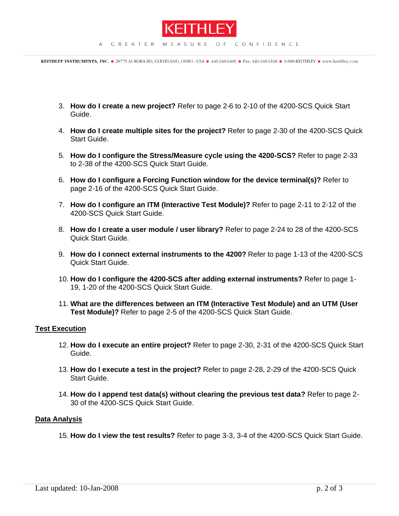

KEITHLEY INSTRUMENTS, INC. 28775 AURORA RD, CLEVELAND, OHIO - USA 440-248-0400 F Fax: 440-248-6168 1 1-888-KEITHLEY Www.keithley.com

- 3. **How do I create a new project?** Refer to page 2-6 to 2-10 of the 4200-SCS Quick Start Guide.
- 4. **How do I create multiple sites for the project?** Refer to page 2-30 of the 4200-SCS Quick Start Guide.
- 5. **How do I configure the Stress/Measure cycle using the 4200-SCS?** Refer to page 2-33 to 2-38 of the 4200-SCS Quick Start Guide.
- 6. **How do I configure a Forcing Function window for the device terminal(s)?** Refer to page 2-16 of the 4200-SCS Quick Start Guide.
- 7. **How do I configure an ITM (Interactive Test Module)?** Refer to page 2-11 to 2-12 of the 4200-SCS Quick Start Guide.
- 8. **How do I create a user module / user library?** Refer to page 2-24 to 28 of the 4200-SCS Quick Start Guide.
- 9. **How do I connect external instruments to the 4200?** Refer to page 1-13 of the 4200-SCS Quick Start Guide.
- 10. **How do I configure the 4200-SCS after adding external instruments?** Refer to page 1- 19, 1-20 of the 4200-SCS Quick Start Guide.
- 11. **What are the differences between an ITM (Interactive Test Module) and an UTM (User Test Module)?** Refer to page 2-5 of the 4200-SCS Quick Start Guide.

#### **Test Execution**

- 12. **How do I execute an entire project?** Refer to page 2-30, 2-31 of the 4200-SCS Quick Start Guide.
- 13. **How do I execute a test in the project?** Refer to page 2-28, 2-29 of the 4200-SCS Quick Start Guide.
- 14. **How do I append test data(s) without clearing the previous test data?** Refer to page 2- 30 of the 4200-SCS Quick Start Guide.

### **Data Analysis**

15. **How do I view the test results?** Refer to page 3-3, 3-4 of the 4200-SCS Quick Start Guide.